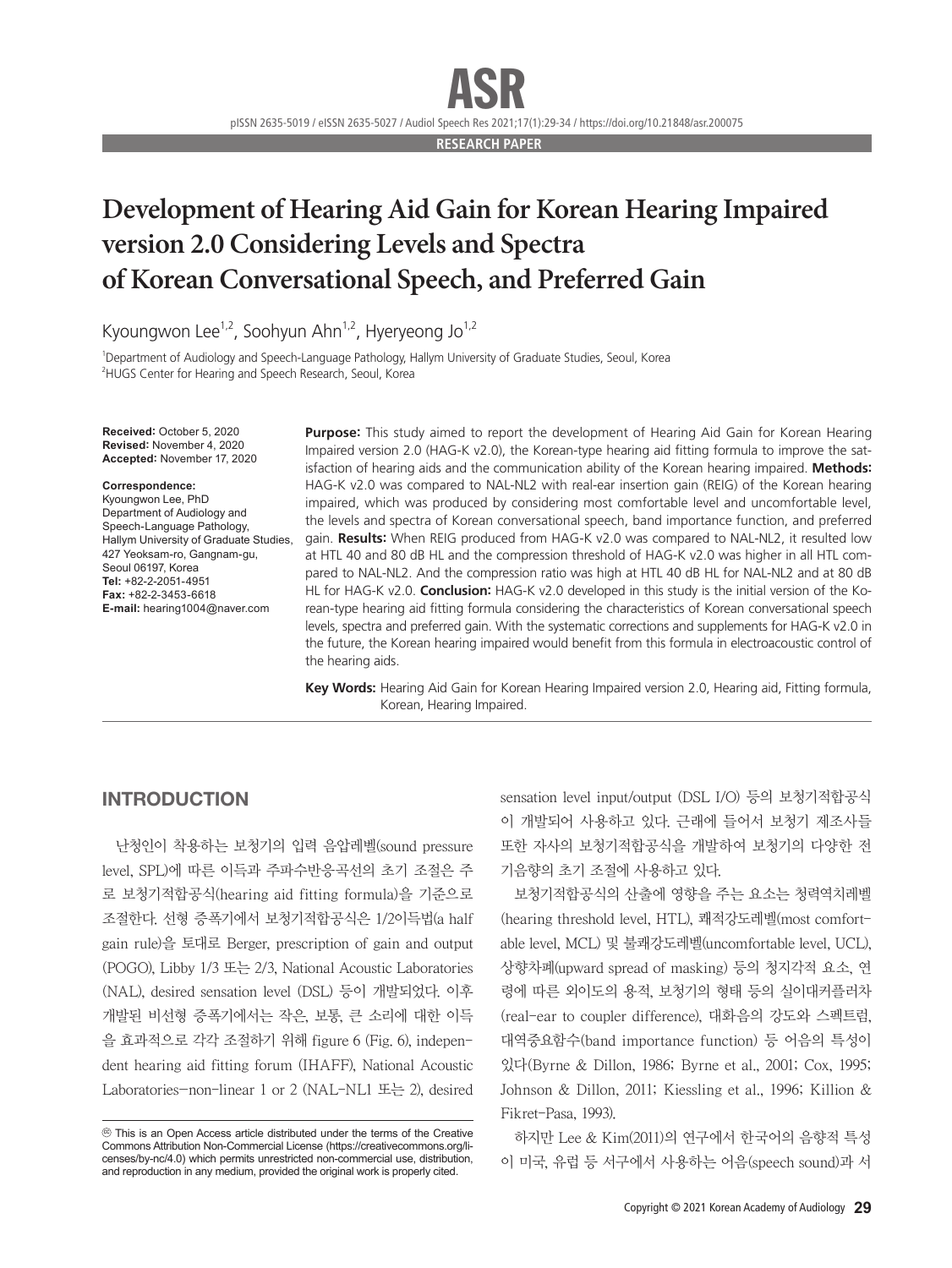pISSN 2635-5019 / eISSN 2635-5027 / Audiol Speech Res 2021;17(1):29-34 / https://doi.org/10.21848/asr.200075

**RESEARCH PAPER**

## **Development of Hearing Aid Gain for Korean Hearing Impaired version 2.0 Considering Levels and Spectra of Korean Conversational Speech, and Preferred Gain**

Kyoungwon Lee<sup>1,2</sup>, Soohyun Ahn<sup>1,2</sup>, Hyeryeong Jo<sup>1,2</sup>

1 Department of Audiology and Speech-Language Pathology, Hallym University of Graduate Studies, Seoul, Korea 2 HUGS Center for Hearing and Speech Research, Seoul, Korea

**Received:** October 5, 2020 **Revised:** November 4, 2020 **Accepted:** November 17, 2020

#### **Correspondence:**

Kyoungwon Lee, PhD Department of Audiology and Speech-Language Pathology, Hallym University of Graduate Studies, 427 Yeoksam-ro, Gangnam-gu, Seoul 06197, Korea **Tel:** +82-2-2051-4951 **Fax:** +82-2-3453-6618 **E-mail:** hearing1004@naver.com

**Purpose:** This study aimed to report the development of Hearing Aid Gain for Korean Hearing Impaired version 2.0 (HAG-K v2.0), the Korean-type hearing aid fitting formula to improve the satisfaction of hearing aids and the communication ability of the Korean hearing impaired. **Methods:** HAG-K v2.0 was compared to NAL-NL2 with real-ear insertion gain (REIG) of the Korean hearing impaired, which was produced by considering most comfortable level and uncomfortable level, the levels and spectra of Korean conversational speech, band importance function, and preferred gain. **Results:** When REIG produced from HAG-K v2.0 was compared to NAL-NL2, it resulted low at HTL 40 and 80 dB HL and the compression threshold of HAG-K v2.0 was higher in all HTL compared to NAL-NL2. And the compression ratio was high at HTL 40 dB HL for NAL-NL2 and at 80 dB HL for HAG-K v2.0. **Conclusion:** HAG-K v2.0 developed in this study is the initial version of the Korean-type hearing aid fitting formula considering the characteristics of Korean conversational speech levels, spectra and preferred gain. With the systematic corrections and supplements for HAG-K v2.0 in the future, the Korean hearing impaired would benefit from this formula in electroacoustic control of the hearing aids.

**Key Words:** Hearing Aid Gain for Korean Hearing Impaired version 2.0, Hearing aid, Fitting formula, Korean, Hearing Impaired.

## INTRODUCTION

난청인이 착용하는 보청기의 입력 음압레벨(sound pressure level, SPL)에 따른 이득과 주파수반응곡선의 초기 조절은 주 로 보청기적합공식(hearing aid fitting formula)을 기준으로 조절한다. 선형 증폭기에서 보청기적합공식은 1/2이득법(a half gain rule)을 토대로 Berger, prescription of gain and output (POGO), Libby 1/3 또는 2/3, National Acoustic Laboratories (NAL), desired sensation level (DSL) 등이 개발되었다. 이후 개발된 비선형 증폭기에서는 작은, 보통, 큰 소리에 대한 이득 을 효과적으로 각각 조절하기 위해 figure 6 (Fig. 6), independent hearing aid fitting forum (IHAFF), National Acoustic Laboratories-non-linear 1 or 2 (NAL-NL1 또는 2), desired

sensation level input/output (DSL I/O) 등의 보청기적합공식 이 개발되어 사용하고 있다. 근래에 들어서 보청기 제조사들 또한 자사의 보청기적합공식을 개발하여 보청기의 다양한 전 기음향의 초기 조절에 사용하고 있다.

보청기적합공식의 산출에 영향을 주는 요소는 청력역치레벨 (hearing threshold level, HTL), 쾌적강도레벨(most comfortable level, MCL) 및 불쾌강도레벨(uncomfortable level, UCL), 상향차폐(upward spread of masking) 등의 청지각적 요소, 연 령에 따른 외이도의 용적, 보청기의 형태 등의 실이대커플러차 (real-ear to coupler difference), 대화음의 강도와 스펙트럼, 대역중요함수(band importance function) 등 어음의 특성이 있다(Byrne & Dillon, 1986; Byrne et al., 2001; Cox, 1995; Johnson & Dillon, 2011; Kiessling et al., 1996; Killion & Fikret-Pasa, 1993).

하지만 Lee & Kim(2011)의 연구에서 한국어의 음향적 특성 이 미국, 유럽 등 서구에서 사용하는 어음(speech sound)과 서

cc This is an Open Access article distributed under the terms of the Creative Commons Attribution Non-Commercial License (https://creativecommons.org/licenses/by-nc/4.0) which permits unrestricted non-commercial use, distribution, and reproduction in any medium, provided the original work is properly cited.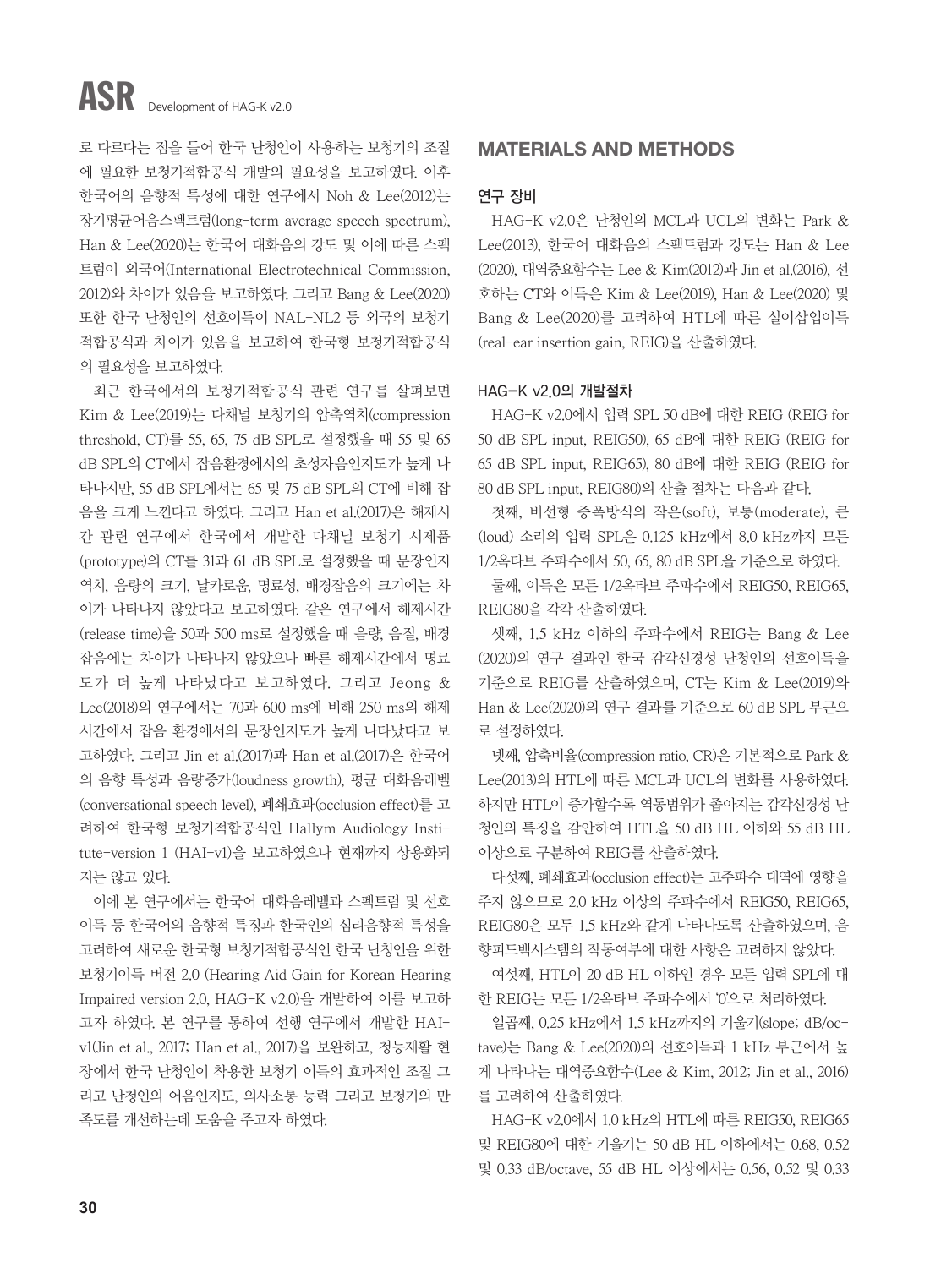# ASR Development of HAG-K v2.0

로 다르다는 점을 들어 한국 난청인이 사용하는 보청기의 조절 에 필요한 보청기적합공식 개발의 필요성을 보고하였다. 이후 한국어의 음향적 특성에 대한 연구에서 Noh & Lee(2012)는 장기평균어음스펙트럼(long-term average speech spectrum), Han & Lee(2020)는 한국어 대화음의 강도 및 이에 따른 스펙 트럼이 외국어(International Electrotechnical Commission, 2012)와 차이가 있음을 보고하였다. 그리고 Bang & Lee(2020) 또한 한국 난청인의 선호이득이 NAL-NL2 등 외국의 보청기 적합공식과 차이가 있음을 보고하여 한국형 보청기적합공식 의 필요성을 보고하였다.

최근 한국에서의 보청기적합공식 관련 연구를 살펴보면 Kim & Lee(2019)는 다채널 보청기의 압축역치(compression threshold, CT)를 55, 65, 75 dB SPL로 설정했을 때 55 및 65 dB SPL의 CT에서 잡음환경에서의 초성자음인지도가 높게 나 타나지만, 55 dB SPL에서는 65 및 75 dB SPL의 CT에 비해 잡 음을 크게 느낀다고 하였다. 그리고 Han et al.(2017)은 해제시 간 관련 연구에서 한국에서 개발한 다채널 보청기 시제품 (prototype)의 CT를 31과 61 dB SPL로 설정했을 때 문장인지 역치, 음량의 크기, 날카로움, 명료성, 배경잡음의 크기에는 차 이가 나타나지 않았다고 보고하였다. 같은 연구에서 해제시간 (release time)을 50과 500 ms로 설정했을 때 음량, 음질, 배경 잡음에는 차이가 나타나지 않았으나 빠른 해제시간에서 명료 도가 더 높게 나타났다고 보고하였다. 그리고 Jeong & Lee(2018)의 연구에서는 70과 600 ms에 비해 250 ms의 해제 시간에서 잡음 환경에서의 문장인지도가 높게 나타났다고 보 고하였다. 그리고 Jin et al.(2017)과 Han et al.(2017)은 한국어 의 음향 특성과 음량증가(loudness growth), 평균 대화음레벨 (conversational speech level), 폐쇄효과(occlusion effect)를 고 려하여 한국형 보청기적합공식인 Hallym Audiology Institute-version 1 (HAI-v1)을 보고하였으나 현재까지 상용화되 지는 않고 있다.

이에 본 연구에서는 한국어 대화음레벨과 스펙트럼 및 선호 이득 등 한국어의 음향적 특징과 한국인의 심리음향적 특성을 고려하여 새로운 한국형 보청기적합공식인 한국 난청인을 위한 보청기이득 버전 2.0 (Hearing Aid Gain for Korean Hearing Impaired version 2.0, HAG-K v2.0)을 개발하여 이를 보고하 고자 하였다. 본 연구를 통하여 선행 연구에서 개발한 HAIv1(Jin et al., 2017; Han et al., 2017)을 보완하고, 청능재활 현 장에서 한국 난청인이 착용한 보청기 이득의 효과적인 조절 그 리고 난청인의 어음인지도, 의사소통 능력 그리고 보청기의 만 족도를 개선하는데 도움을 주고자 하였다.

## MATERIALS AND METHODS

## 연구 장비

HAG-K v2.0은 난청인의 MCL과 UCL의 변화는 Park & Lee(2013), 한국어 대화음의 스펙트럼과 강도는 Han & Lee (2020), 대역중요함수는 Lee & Kim(2012)과 Jin et al.(2016), 선 호하는 CT와 이득은 Kim & Lee(2019), Han & Lee(2020) 및 Bang & Lee(2020)를 고려하여 HTL에 따른 실이삽입이득 (real-ear insertion gain, REIG)을 산출하였다.

## HAG-K v2.0의 개발절차

HAG-K v2.0에서 입력 SPL 50 dB에 대한 REIG (REIG for 50 dB SPL input, REIG50), 65 dB에 대한 REIG (REIG for 65 dB SPL input, REIG65), 80 dB에 대한 REIG (REIG for 80 dB SPL input, REIG80)의 산출 절차는 다음과 같다.

첫째, 비선형 증폭방식의 작은(soft), 보통(moderate), 큰 (loud) 소리의 입력 SPL은 0.125 kHz에서 8.0 kHz까지 모든 1/2옥타브 주파수에서 50, 65, 80 dB SPL을 기준으로 하였다.

둘째, 이득은 모든 1/2옥타브 주파수에서 REIG50, REIG65, REIG80을 각각 산출하였다.

셋째, 1.5 kHz 이하의 주파수에서 REIG는 Bang & Lee (2020)의 연구 결과인 한국 감각신경성 난청인의 선호이득을 기준으로 REIG를 산출하였으며, CT는 Kim & Lee(2019)와 Han & Lee(2020)의 연구 결과를 기준으로 60 dB SPL 부근으 로 설정하였다.

넷째, 압축비율(compression ratio, CR)은 기본적으로 Park & Lee(2013)의 HTL에 따른 MCL과 UCL의 변화를 사용하였다. 하지만 HTL이 증가할수록 역동범위가 좁아지는 감각신경성 난 청인의 특징을 감안하여 HTL을 50 dB HL 이하와 55 dB HL 이상으로 구분하여 REIG를 산출하였다.

다섯째, 폐쇄효과(occlusion effect)는 고주파수 대역에 영향을 주지 않으므로 2.0 kHz 이상의 주파수에서 REIG50, REIG65, REIG80은 모두 1.5 kHz와 같게 나타나도록 산출하였으며, 음 향피드백시스템의 작동여부에 대한 사항은 고려하지 않았다.

여섯째, HTL이 20 dB HL 이하인 경우 모든 입력 SPL에 대 한 REIG는 모든 1/2옥타브 주파수에서 '0'으로 처리하였다.

일곱째, 0.25 kHz에서 1.5 kHz까지의 기울기(slope; dB/octave)는 Bang & Lee(2020)의 선호이득과 1 kHz 부근에서 높 게 나타나는 대역중요함수(Lee & Kim, 2012; Jin et al., 2016) 를 고려하여 산출하였다.

HAG-K v2.0에서 1.0 kHz의 HTL에 따른 REIG50, REIG65 및 REIG80에 대한 기울기는 50 dB HL 이하에서는 0.68, 0.52 및 0.33 dB/octave, 55 dB HL 이상에서는 0.56, 0.52 및 0.33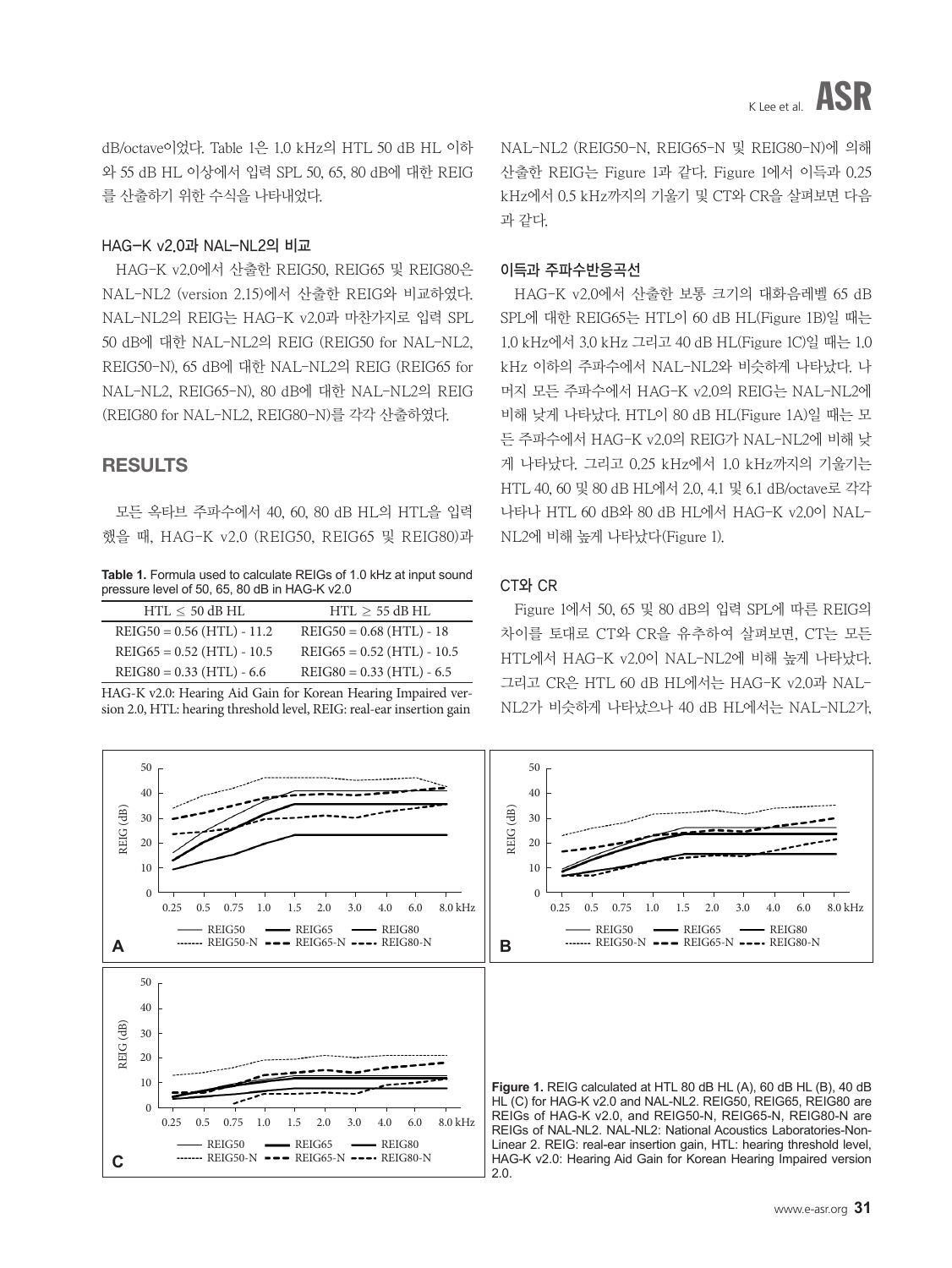dB/octave이었다. Table 1은 1.0 kHz의 HTL 50 dB HL 이하 와 55 dB HL 이상에서 입력 SPL 50, 65, 80 dB에 대한 REIG 를 산출하기 위한 수식을 나타내었다.

### HAG-K v2.0과 NAL-NL2의 비교

HAG-K v2.0에서 산출한 REIG50, REIG65 및 REIG80은 NAL-NL2 (version 2.15)에서 산출한 REIG와 비교하였다. NAL-NL2의 REIG는 HAG-K v2.0과 마찬가지로 입력 SPL 50 dB에 대한 NAL-NL2의 REIG (REIG50 for NAL-NL2, REIG50-N), 65 dB에 대한 NAL-NL2의 REIG (REIG65 for NAL-NL2, REIG65-N), 80 dB에 대한 NAL-NL2의 REIG (REIG80 for NAL-NL2, REIG80-N)를 각각 산출하였다.

## RESULTS

모든 옥타브 주파수에서 40, 60, 80 dB HL의 HTL을 입력 했을 때, HAG-K v2.0 (REIG50, REIG65 및 REIG80)과

Table 1. Formula used to calculate REIGs of 1.0 kHz at input sound pressure level of 50, 65, 80 dB in HAG-K v2.0

| $HTL \le 50$ dB HL           | $HTL \geq 55$ dB HL          |
|------------------------------|------------------------------|
| $REIG50 = 0.56$ (HTL) - 11.2 | $REIG50 = 0.68$ (HTL) - 18   |
| $REIG65 = 0.52$ (HTL) - 10.5 | $REIG65 = 0.52$ (HTL) - 10.5 |
| $REIG80 = 0.33$ (HTL) - 6.6  | $REIG80 = 0.33$ (HTL) - 6.5  |

HAG-K v2.0: Hearing Aid Gain for Korean Hearing Impaired version 2.0, HTL: hearing threshold level, REIG: real-ear insertion gain

NAL-NL2 (REIG50-N, REIG65-N 및 REIG80-N)에 의해 산출한 REIG는 Figure 1과 같다. Figure 1에서 이득과 0.25 kHz에서 0.5 kHz까지의 기울기 및 CT와 CR을 살펴보면 다음 과 같다.

### 이득과 주파수반응곡선

HAG-K v2.0에서 산출한 보통 크기의 대화음레벨 65 dB SPL에 대한 REIG65는 HTL이 60 dB HL(Figure 1B)일 때는 1.0 kHz에서 3.0 kHz 그리고 40 dB HL(Figure 1C)일 때는 1.0 kHz 이하의 주파수에서 NAL-NL2와 비슷하게 나타났다. 나 머지 모든 주파수에서 HAG-K v2.0의 REIG는 NAL-NL2에 비해 낮게 나타났다. HTL이 80 dB HL(Figure 1A)일 때는 모 든 주파수에서 HAG-K v2.0의 REIG가 NAL-NL2에 비해 낮 게 나타났다. 그리고 0.25 kHz에서 1.0 kHz까지의 기울기는 HTL 40, 60 및 80 dB HL에서 2.0, 4.1 및 6.1 dB/octave로 각각 나타나 HTL 60 dB와 80 dB HL에서 HAG-K v2.0이 NAL-NL2에 비해 높게 나타났다(Figure 1).

## CT와 CR

Figure 1에서 50, 65 및 80 dB의 입력 SPL에 따른 REIG의 차이를 토대로 CT와 CR을 유추하여 살펴보면, CT는 모든 HTL에서 HAG-K v2.0이 NAL-NL2에 비해 높게 나타났다. 그리고 CR은 HTL 60 dB HL에서는 HAG-K v2.0과 NAL-NL2가 비슷하게 나타났으나 40 dB HL에서는 NAL-NL2가,

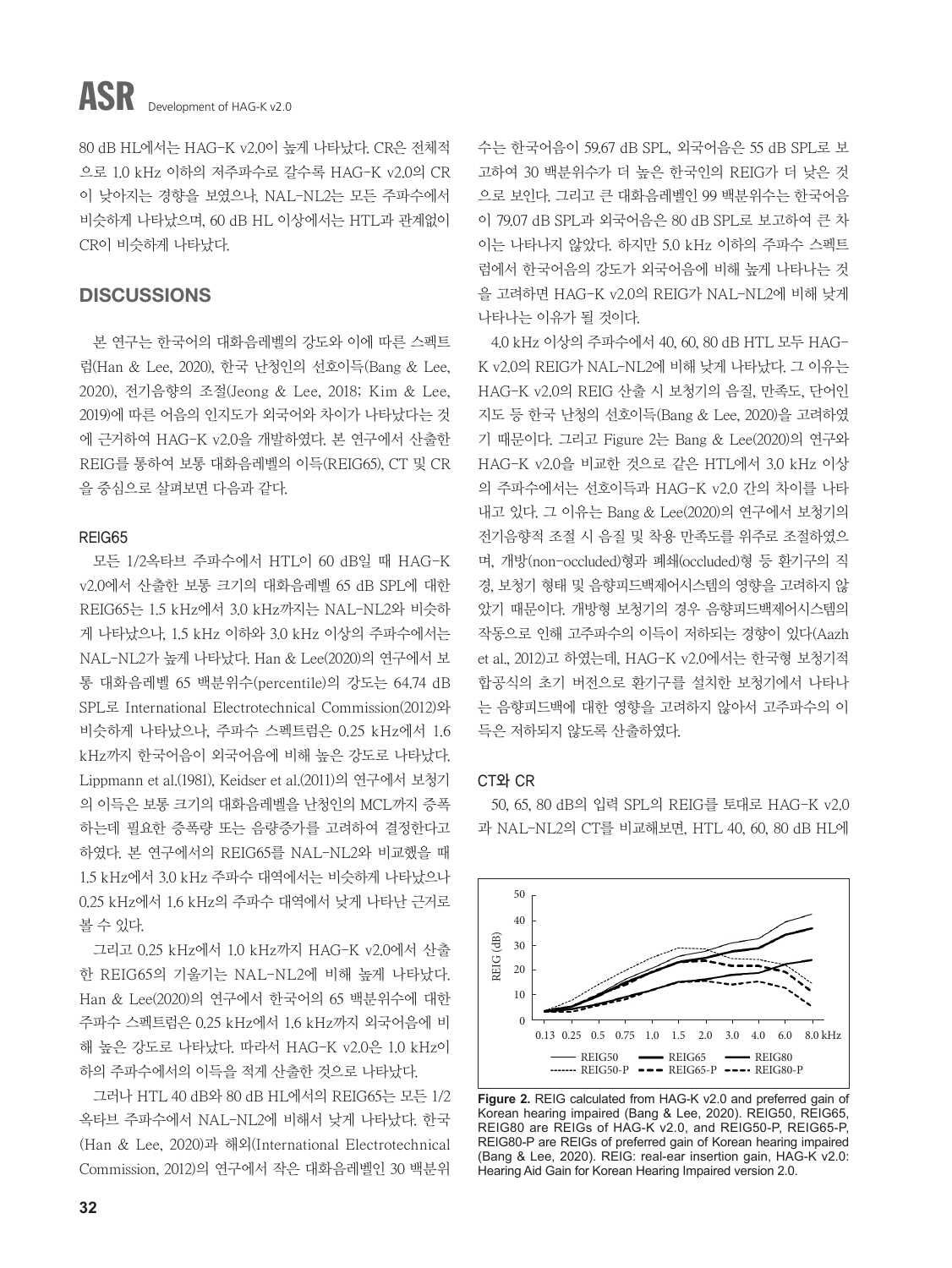## ASR Development of HAG-K v2.0

80 dB HL에서는 HAG-K v2.0이 높게 나타났다. CR은 전체적 으로 1.0 kHz 이하의 저주파수로 갈수록 HAG-K v2.0의 CR 이 낮아지는 경향을 보였으나, NAL-NL2는 모든 주파수에서 비슷하게 나타났으며, 60 dB HL 이상에서는 HTL과 관계없이 CR이 비슷하게 나타났다.

## **DISCUSSIONS**

본 연구는 한국어의 대화음레벨의 강도와 이에 따른 스펙트 럼(Han & Lee, 2020), 한국 난청인의 선호이득(Bang & Lee, 2020), 전기음향의 조절(Jeong & Lee, 2018; Kim & Lee, 2019)에 따른 어음의 인지도가 외국어와 차이가 나타났다는 것 에 근거하여 HAG-K v2.0을 개발하였다. 본 연구에서 산출한 REIG를 통하여 보통 대화음레벨의 이득(REIG65), CT 및 CR 을 중심으로 살펴보면 다음과 같다.

## REIG65

모든 1/2옥타브 주파수에서 HTL이 60 dB일 때 HAG-K v2.0에서 산출한 보통 크기의 대화음레벨 65 dB SPL에 대한 REIG65는 1.5 kHz에서 3.0 kHz까지는 NAL-NL2와 비슷하 게 나타났으나, 1.5 kHz 이하와 3.0 kHz 이상의 주파수에서는 NAL-NL2가 높게 나타났다. Han & Lee(2020)의 연구에서 보 통 대화음레벨 65 백분위수(percentile)의 강도는 64.74 dB SPL로 International Electrotechnical Commission(2012)와 비슷하게 나타났으나, 주파수 스펙트럼은 0.25 kHz에서 1.6 kHz까지 한국어음이 외국어음에 비해 높은 강도로 나타났다. Lippmann et al.(1981), Keidser et al.(2011)의 연구에서 보청기 의 이득은 보통 크기의 대화음레벨을 난청인의 MCL까지 증폭 하는데 필요한 증폭량 또는 음량증가를 고려하여 결정한다고 하였다. 본 연구에서의 REIG65를 NAL-NL2와 비교했을 때 1.5 kHz에서 3.0 kHz 주파수 대역에서는 비슷하게 나타났으나 0.25 kHz에서 1.6 kHz의 주파수 대역에서 낮게 나타난 근거로 볼 수 있다.

그리고 0.25 kHz에서 1.0 kHz까지 HAG-K v2.0에서 산출 한 REIG65의 기울기는 NAL-NL2에 비해 높게 나타났다. Han & Lee(2020)의 연구에서 한국어의 65 백분위수에 대한 주파수 스펙트럼은 0.25 kHz에서 1.6 kHz까지 외국어음에 비 해 높은 강도로 나타났다. 따라서 HAG-K v2.0은 1.0 kHz이 하의 주파수에서의 이득을 적게 산출한 것으로 나타났다.

그러나 HTL 40 dB와 80 dB HL에서의 REIG65는 모든 1/2 옥타브 주파수에서 NAL-NL2에 비해서 낮게 나타났다. 한국 (Han & Lee, 2020)과 해외(International Electrotechnical Commission, 2012)의 연구에서 작은 대화음레벨인 30 백분위

수는 한국어음이 59.67 dB SPL, 외국어음은 55 dB SPL로 보 고하여 30 백분위수가 더 높은 한국인의 REIG가 더 낮은 것 으로 보인다. 그리고 큰 대화음레벨인 99 백분위수는 한국어음 이 79.07 dB SPL과 외국어음은 80 dB SPL로 보고하여 큰 차 이는 나타나지 않았다. 하지만 5.0 kHz 이하의 주파수 스펙트 럼에서 한국어음의 강도가 외국어음에 비해 높게 나타나는 것 을 고려하면 HAG-K v2.0의 REIG가 NAL-NL2에 비해 낮게 나타나는 이유가 될 것이다.

4.0 kHz 이상의 주파수에서 40, 60, 80 dB HTL 모두 HAG-K v2.0의 REIG가 NAL-NL2에 비해 낮게 나타났다. 그 이유는 HAG-K v2.0의 REIG 산출 시 보청기의 음질, 만족도, 단어인 지도 등 한국 난청의 선호이득(Bang & Lee, 2020)을 고려하였 기 때문이다. 그리고 Figure 2는 Bang & Lee(2020)의 연구와 HAG-K v2.0을 비교한 것으로 같은 HTL에서 3.0 kHz 이상 의 주파수에서는 선호이득과 HAG-K v2.0 간의 차이를 나타 내고 있다. 그 이유는 Bang & Lee(2020)의 연구에서 보청기의 전기음향적 조절 시 음질 및 착용 만족도를 위주로 조절하였으 며, 개방(non-occluded)형과 폐쇄(occluded)형 등 환기구의 직 경, 보청기 형태 및 음향피드백제어시스템의 영향을 고려하지 않 았기 때문이다. 개방형 보청기의 경우 음향피드백제어시스템의 작동으로 인해 고주파수의 이득이 저하되는 경향이 있다(Aazh et al., 2012)고 하였는데, HAG-K v2.0에서는 한국형 보청기적 합공식의 초기 버전으로 환기구를 설치한 보청기에서 나타나 는 음향피드백에 대한 영향을 고려하지 않아서 고주파수의 이 득은 저하되지 않도록 산출하였다.

#### CT와 CR

50, 65, 80 dB의 입력 SPL의 REIG를 토대로 HAG-K v2.0 과 NAL-NL2의 CT를 비교해보면, HTL 40, 60, 80 dB HL에



**Figure 2.** REIG calculated from HAG-K v2.0 and preferred gain of Korean hearing impaired (Bang & Lee, 2020). REIG50, REIG65, REIG80 are REIGs of HAG-K v2.0, and REIG50-P, REIG65-P, REIG80-P are REIGs of preferred gain of Korean hearing impaired (Bang & Lee, 2020). REIG: real-ear insertion gain, HAG-K v2.0: Hearing Aid Gain for Korean Hearing Impaired version 2.0.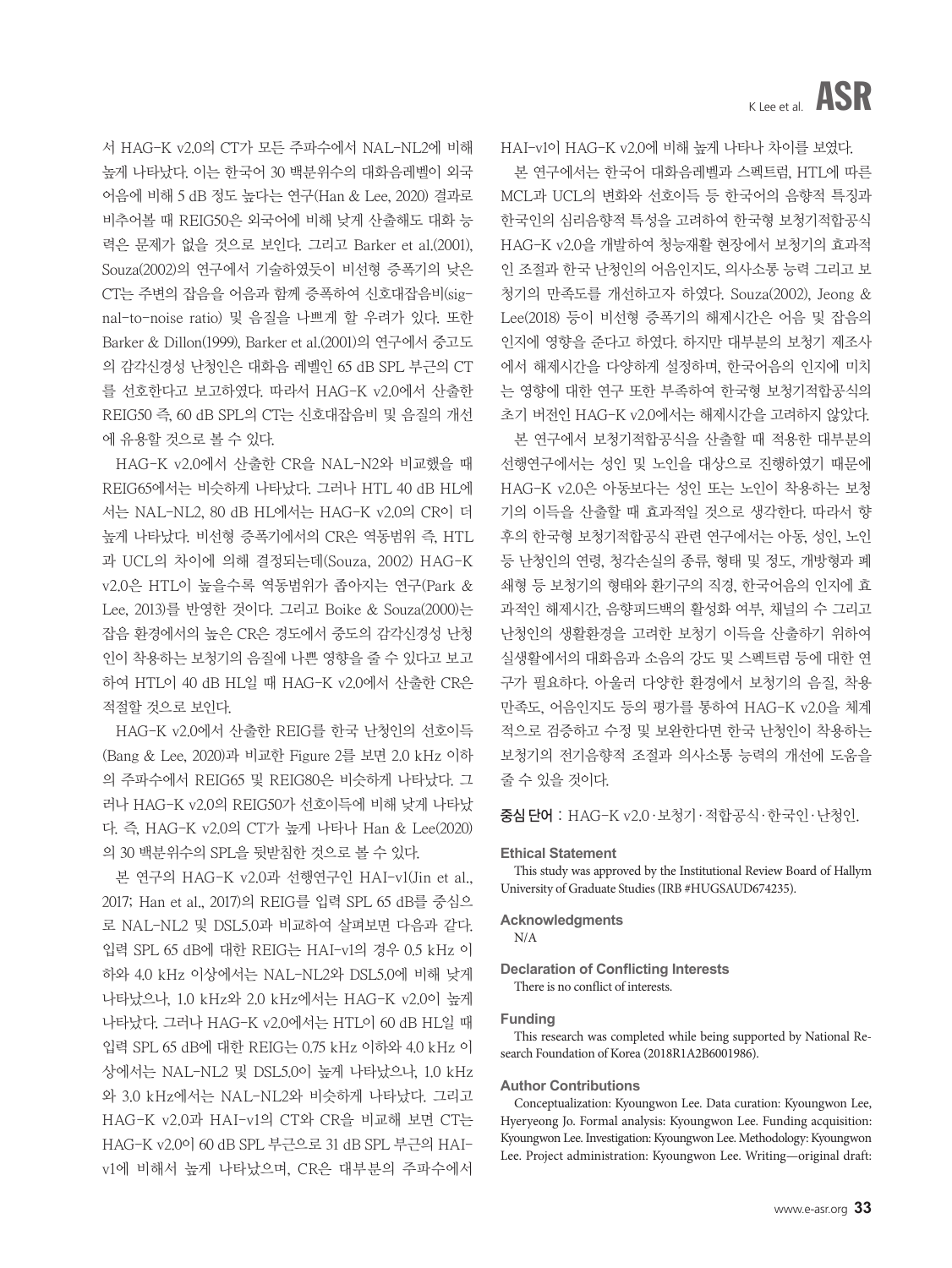서 HAG-K v2.0의 CT가 모든 주파수에서 NAL-NL2에 비해 높게 나타났다. 이는 한국어 30 백분위수의 대화음레벨이 외국 어음에 비해 5 dB 정도 높다는 연구(Han & Lee, 2020) 결과로 비추어볼 때 REIG50은 외국어에 비해 낮게 산출해도 대화 능 력은 문제가 없을 것으로 보인다. 그리고 Barker et al.(2001), Souza(2002)의 연구에서 기술하였듯이 비선형 증폭기의 낮은 CT는 주변의 잡음을 어음과 함께 증폭하여 신호대잡음비(signal-to-noise ratio) 및 음질을 나쁘게 할 우려가 있다. 또한 Barker & Dillon(1999), Barker et al.(2001)의 연구에서 중고도 의 감각신경성 난청인은 대화음 레벨인 65 dB SPL 부근의 CT 를 선호한다고 보고하였다. 따라서 HAG-K v2.0에서 산출한 REIG50 즉, 60 dB SPL의 CT는 신호대잡음비 및 음질의 개선 에 유용할 것으로 볼 수 있다.

HAG-K v2.0에서 산출한 CR을 NAL-N2와 비교했을 때 REIG65에서는 비슷하게 나타났다. 그러나 HTL 40 dB HL에 서는 NAL-NL2, 80 dB HL에서는 HAG-K v2.0의 CR이 더 높게 나타났다. 비선형 증폭기에서의 CR은 역동범위 즉, HTL 과 UCL의 차이에 의해 결정되는데(Souza, 2002) HAG-K v2.0은 HTL이 높을수록 역동범위가 좁아지는 연구(Park & Lee, 2013)를 반영한 것이다. 그리고 Boike & Souza(2000)는 잡음 환경에서의 높은 CR은 경도에서 중도의 감각신경성 난청 인이 착용하는 보청기의 음질에 나쁜 영향을 줄 수 있다고 보고 하여 HTL이 40 dB HL일 때 HAG-K v2.0에서 산출한 CR은 적절할 것으로 보인다.

HAG-K v2.0에서 산출한 REIG를 한국 난청인의 선호이득 (Bang & Lee, 2020)과 비교한 Figure 2를 보면 2.0 kHz 이하 의 주파수에서 REIG65 및 REIG80은 비슷하게 나타났다. 그 러나 HAG-K v2.0의 REIG50가 선호이득에 비해 낮게 나타났 다. 즉, HAG-K v2.0의 CT가 높게 나타나 Han & Lee(2020) 의 30 백분위수의 SPL을 뒷받침한 것으로 볼 수 있다.

본 연구의 HAG-K v2.0과 선행연구인 HAI-v1(Jin et al., 2017; Han et al., 2017)의 REIG를 입력 SPL 65 dB를 중심으 로 NAL-NL2 및 DSL5.0과 비교하여 살펴보면 다음과 같다. 입력 SPL 65 dB에 대한 REIG는 HAI-v1의 경우 0.5 kHz 이 하와 4.0 kHz 이상에서는 NAL-NL2와 DSL5.0에 비해 낮게 나타났으나, 1.0 kHz와 2.0 kHz에서는 HAG-K v2.0이 높게 나타났다. 그러나 HAG-K v2.0에서는 HTL이 60 dB HL일 때 입력 SPL 65 dB에 대한 REIG는 0.75 kHz 이하와 4.0 kHz 이 상에서는 NAL-NL2 및 DSL5.0이 높게 나타났으나, 1.0 kHz 와 3.0 kHz에서는 NAL-NL2와 비슷하게 나타났다. 그리고 HAG-K v2.0과 HAI-v1의 CT와 CR을 비교해 보면 CT는 HAG-K v2.0이 60 dB SPL 부근으로 31 dB SPL 부근의 HAIv1에 비해서 높게 나타났으며, CR은 대부분의 주파수에서

HAI-v1이 HAG-K v2.0에 비해 높게 나타나 차이를 보였다.

본 연구에서는 한국어 대화음레벨과 스펙트럼, HTL에 따른 MCL과 UCL의 변화와 선호이득 등 한국어의 음향적 특징과 한국인의 심리음향적 특성을 고려하여 한국형 보청기적합공식 HAG-K v2.0을 개발하여 청능재활 현장에서 보청기의 효과적 인 조절과 한국 난청인의 어음인지도, 의사소통 능력 그리고 보 청기의 만족도를 개선하고자 하였다. Souza(2002), Jeong & Lee(2018) 등이 비선형 증폭기의 해제시간은 어음 및 잡음의 인지에 영향을 준다고 하였다. 하지만 대부분의 보청기 제조사 에서 해제시간을 다양하게 설정하며, 한국어음의 인지에 미치 는 영향에 대한 연구 또한 부족하여 한국형 보청기적합공식의 초기 버전인 HAG-K v2.0에서는 해제시간을 고려하지 않았다.

본 연구에서 보청기적합공식을 산출할 때 적용한 대부분의 선행연구에서는 성인 및 노인을 대상으로 진행하였기 때문에 HAG-K v2.0은 아동보다는 성인 또는 노인이 착용하는 보청 기의 이득을 산출할 때 효과적일 것으로 생각한다. 따라서 향 후의 한국형 보청기적합공식 관련 연구에서는 아동, 성인, 노인 등 난청인의 연령, 청각손실의 종류, 형태 및 정도, 개방형과 폐 쇄형 등 보청기의 형태와 환기구의 직경, 한국어음의 인지에 효 과적인 해제시간, 음향피드백의 활성화 여부, 채널의 수 그리고 난청인의 생활환경을 고려한 보청기 이득을 산출하기 위하여 실생활에서의 대화음과 소음의 강도 및 스펙트럼 등에 대한 연 구가 필요하다. 아울러 다양한 환경에서 보청기의 음질, 착용 만족도, 어음인지도 등의 평가를 통하여 HAG-K v2.0을 체계 적으로 검증하고 수정 및 보완한다면 한국 난청인이 착용하는 보청기의 전기음향적 조절과 의사소통 능력의 개선에 도움을 줄 수 있을 것이다.

증심 단어 : HAG-K v2.0·보청기·적합공식·한국인·난청인.

#### **Ethical Statement**

This study was approved by the Institutional Review Board of Hallym University of Graduate Studies (IRB #HUGSAUD674235).

#### **Acknowledgments**

N/A

#### **Declaration of Conflicting Interests** There is no conflict of interests.

#### **Funding**

This research was completed while being supported by National Research Foundation of Korea (2018R1A2B6001986).

#### **Author Contributions**

Conceptualization: Kyoungwon Lee. Data curation: Kyoungwon Lee, Hyeryeong Jo. Formal analysis: Kyoungwon Lee. Funding acquisition: Kyoungwon Lee. Investigation: Kyoungwon Lee. Methodology: Kyoungwon Lee. Project administration: Kyoungwon Lee. Writing—original draft: